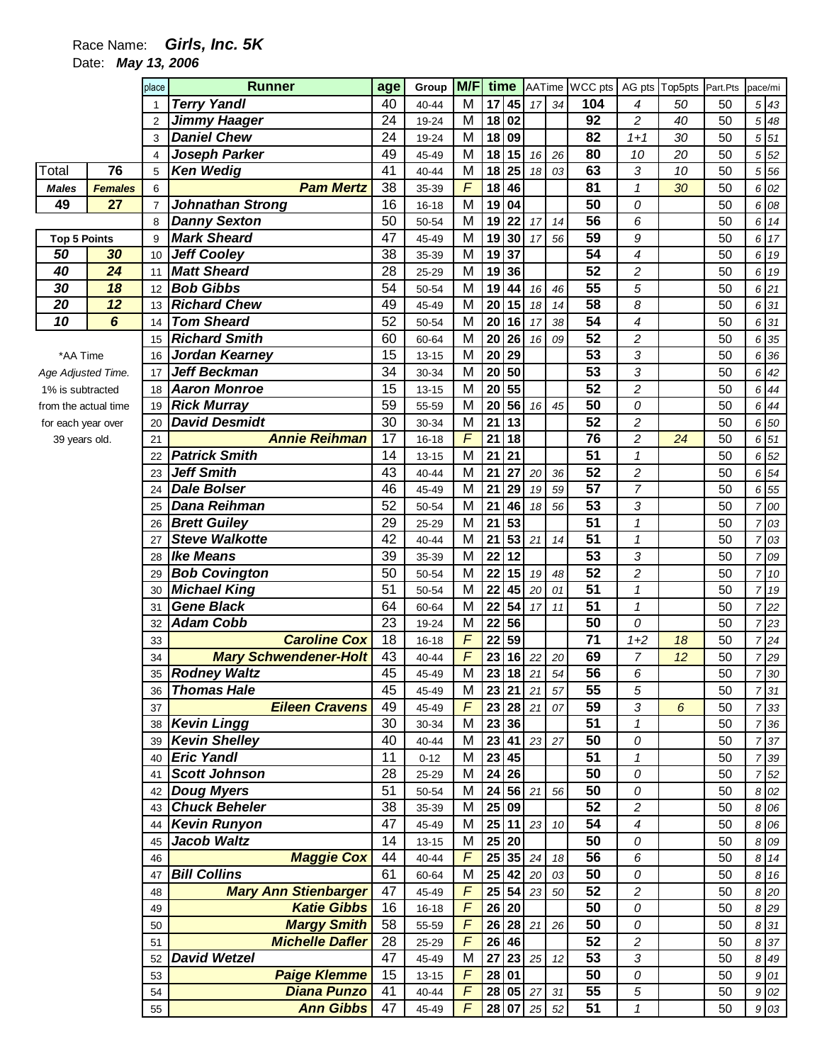## Race Name: **Girls, Inc. 5K**

Date: **May 13, 2006** 

|                      |                 | place          | <b>Runner</b>                | age             | Group     | M/F            | time            |                                  |                                  |        | AATime WCC pts AG pts Top5pts |                |    | Part.Pts | pace/mi        |       |
|----------------------|-----------------|----------------|------------------------------|-----------------|-----------|----------------|-----------------|----------------------------------|----------------------------------|--------|-------------------------------|----------------|----|----------|----------------|-------|
|                      |                 |                | <b>Terry Yandl</b>           | 40              | 40-44     | M              |                 | $17$ 45                          | 17 34                            |        | 104                           | 4              | 50 | 50       |                | 5 43  |
|                      |                 | $\overline{2}$ | <b>Jimmy Haager</b>          | 24              | 19-24     | M              | 18              | 02                               |                                  |        | 92                            | 2              | 40 | 50       | 5              | 48    |
|                      |                 | 3              | <b>Daniel Chew</b>           | 24              | 19-24     | M              | 18              | 09                               |                                  |        | 82                            | $1 + 1$        | 30 | 50       |                | 5 51  |
|                      |                 | $\overline{4}$ | Joseph Parker                | 49              | 45-49     | M              | 18              | 15                               | 16                               | 26     | 80                            | 10             | 20 | 50       |                | 5 52  |
| Total                | 76              | 5              | <b>Ken Wedig</b>             | 41              | 40-44     | M              | 18              | 25                               | 18                               | 03     | 63                            | 3              | 10 | 50       |                | 5 5 6 |
| <b>Males</b>         | <b>Females</b>  | 6              | <b>Pam Mertz</b>             | 38              | 35-39     | $\overline{F}$ | 18              | 46                               |                                  |        | 81                            | $\mathcal I$   | 30 | 50       |                | 6 02  |
| 49                   | 27              | $\overline{7}$ | Johnathan Strong             | 16              | $16 - 18$ | $\overline{M}$ | 19              | 04                               |                                  |        | 50                            | 0              |    | 50       |                | 6 08  |
|                      |                 | 8              | <b>Danny Sexton</b>          | 50              | 50-54     | M              | 19              | 22                               | 17                               | 14     | 56                            | 6              |    | 50       |                | 6 14  |
| <b>Top 5 Points</b>  |                 | 9              | <b>Mark Sheard</b>           | 47              | 45-49     | M              | 19              | 30                               | 17                               | 56     | 59                            | 9              |    | 50       |                | 6 17  |
| 50                   | 30              | 10             | <b>Jeff Cooley</b>           | 38              | 35-39     | M              | 19              | 37                               |                                  |        | 54                            | 4              |    | 50       |                | 6 19  |
| 40                   | $\overline{24}$ | 11             | <b>Matt Sheard</b>           | 28              | 25-29     | M              | $\overline{19}$ | 36                               |                                  |        | $\overline{52}$               | 2              |    | 50       |                | 6 19  |
| 30                   | 18              | 12             | <b>Bob Gibbs</b>             | 54              | 50-54     | M              | 19              | 44                               | 16                               | 46     | $\overline{55}$               | 5              |    | 50       |                | 6 21  |
| 20                   | 12              | 13             | <b>Richard Chew</b>          | 49              | 45-49     | M              | 20              | 15                               | 18                               | 14     | $\overline{58}$               | 8              |    | 50       |                | 6 31  |
| 10                   | 6               | 14             | <b>Tom Sheard</b>            | 52              | 50-54     | M              | 20              | 16                               | 17                               | 38     | $\overline{54}$               | 4              |    | 50       |                | 6 31  |
|                      |                 | 15             | <b>Richard Smith</b>         | 60              | 60-64     | M              | 20              | 26                               | 16                               | 09     | 52                            | 2              |    | 50       |                | 6 35  |
| *AA Time             |                 | 16             | Jordan Kearney               | 15              | $13 - 15$ | M              | 20              | $\overline{29}$                  |                                  |        | 53                            | 3              |    | 50       |                | 6 36  |
| Age Adjusted Time.   |                 | 17             | <b>Jeff Beckman</b>          | 34              | 30-34     | M              | $\overline{20}$ | 50                               |                                  |        | $\overline{53}$               | 3              |    | 50       |                | 6 42  |
| 1% is subtracted     |                 | 18             | <b>Aaron Monroe</b>          | 15              | $13 - 15$ | M              | 20              | 55                               |                                  |        | $\overline{52}$               | $\overline{c}$ |    | 50       | 6              | 44    |
| from the actual time |                 | 19             | <b>Rick Murray</b>           | 59              | 55-59     | M              | 20              | 56                               | 16                               | 45     | 50                            | 0              |    | 50       |                | 6 44  |
| for each year over   |                 | 20             | <b>David Desmidt</b>         | 30              | 30-34     | M              | $\overline{21}$ | 13                               |                                  |        | $\overline{52}$               | $\overline{c}$ |    | 50       |                | 6 50  |
| 39 years old.        |                 | 21             | <b>Annie Reihman</b>         | $\overline{17}$ | 16-18     | F              | $\overline{21}$ | 18                               |                                  |        | $\overline{76}$               | 2              | 24 | 50       |                | 6 51  |
|                      |                 | 22             | <b>Patrick Smith</b>         | 14              | $13 - 15$ | M              | 21              | 21                               |                                  |        | 51                            | $\mathcal I$   |    | 50       |                | 6 52  |
|                      |                 | 23             | <b>Jeff Smith</b>            | 43              | 40-44     | M              | $\overline{21}$ | $\overline{27}$                  | 20                               | 36     | $\overline{52}$               | $\overline{c}$ |    | 50       |                | 6 54  |
|                      |                 | 24             | <b>Dale Bolser</b>           | 46              | 45-49     | M              | 21              | 29                               | 19                               | 59     | $\overline{57}$               | $\overline{7}$ |    | 50       |                | 6 55  |
|                      |                 | 25             | <b>Dana Reihman</b>          | 52              | 50-54     | M              | 21              | 46                               | 18                               | 56     | $\overline{53}$               | 3              |    | 50       | 7              | 00    |
|                      |                 | 26             | <b>Brett Guiley</b>          | 29              | 25-29     | M              | 21              | 53                               |                                  |        | $\overline{51}$               | 1              |    | 50       | 7              | 03    |
|                      |                 | 27             | <b>Steve Walkotte</b>        | 42              | 40-44     | M              | 21              | 53                               | 21                               | 14     | $\overline{51}$               | 1              |    | 50       |                | 03    |
|                      |                 | 28             | <b>Ike Means</b>             | 39              | 35-39     | M              | 22              | 12                               |                                  |        | 53                            | 3              |    | 50       | 7              | 09    |
|                      |                 | 29             | <b>Bob Covington</b>         | 50              | 50-54     | M              | 22              | 15                               | 19                               | 48     | 52                            | $\overline{c}$ |    | 50       | 7              | 10    |
|                      |                 | 30             | <b>Michael King</b>          | 51              | 50-54     | M              | 22              | 45                               | 20                               | 01     | 51                            | 1              |    | 50       | $\overline{7}$ | 19    |
|                      |                 | 31             | <b>Gene Black</b>            | 64              | 60-64     | M              | 22              | 54                               | 17                               | 11     | 51                            | $\mathcal I$   |    | 50       | 7              | 22    |
|                      |                 | 32             | <b>Adam Cobb</b>             | 23              | 19-24     | M              | 22              | 56                               |                                  |        | 50                            | 0              |    | 50       |                | 723   |
|                      |                 | 33             | <b>Caroline Cox</b>          | 18              | 16-18     | F              | 22              | 59                               |                                  |        | $\overline{71}$               | $1 + 2$        | 18 | 50       | 7              | 24    |
|                      |                 | 34             | <b>Mary Schwendener-Holt</b> | 43              | 40-44     | F              | 23              | 16                               | 22                               | 20     | 69                            | 7              | 12 | 50       | 7              | 29    |
|                      |                 | 35             | <b>Rodney Waltz</b>          | 45              | 45-49     | M              |                 | $23$ 18 $21$                     |                                  | 54     | 56                            | 6              |    | 50       |                | 7 30  |
|                      |                 | 36             | <b>Thomas Hale</b>           | 45              | 45-49     | M              |                 | 23 21                            | 21                               | 57     | 55                            | 5              |    | 50       |                | 7 31  |
|                      |                 | 37             | <b>Eileen Cravens</b>        | 49              | 45-49     | F              |                 | 23 28 21                         |                                  | 07     | 59                            | 3              | 6  | 50       |                | 7 33  |
|                      |                 |                | 38 Kevin Lingg               | 30              | 30-34     | M              |                 | 23 36                            |                                  |        | 51                            | $\mathbf{1}$   |    | 50       | 7              | 36    |
|                      |                 | 39             | <b>Kevin Shelley</b>         | 40              | 40-44     | M              |                 |                                  | 23 41 23 27                      |        | 50                            | 0              |    | 50       | 7              | 37    |
|                      |                 |                | 40 Eric Yandl                | 11              | $0 - 12$  | M              |                 | 23 45                            |                                  |        | 51                            | 1              |    | 50       |                | 39    |
|                      |                 | 41             | <b>Scott Johnson</b>         | 28              | 25-29     | M              |                 | 24 26                            |                                  |        | 50                            | 0              |    | 50       |                | 52    |
|                      |                 |                | 42 Doug Myers                | 51              | 50-54     | M              |                 | $24 \overline{56} \overline{21}$ |                                  | 56     | 50                            | 0              |    | 50       |                | 8 0 2 |
|                      |                 |                | 43 Chuck Beheler             | 38              | 35-39     | M              |                 | 25 09                            |                                  |        | 52                            | 2              |    | 50       |                | 8 0 6 |
|                      |                 |                | 44   Kevin Runyon            | 47              | 45-49     | M              |                 |                                  | 25 11 23 10                      |        | 54                            | $\overline{4}$ |    | 50       |                | 8 0 6 |
|                      |                 | 45             | <b>Jacob Waltz</b>           | 14              | 13-15     | M              |                 | $25$ 20                          |                                  |        | 50                            | 0              |    | 50       |                | 8 0 9 |
|                      |                 | 46             | <b>Maggie Cox</b>            | 44              | 40-44     | $\overline{F}$ |                 |                                  | $25 \overline{35} \overline{24}$ | $18\,$ | 56                            | 6              |    | 50       |                | 8 14  |
|                      |                 | 47             | <b>Bill Collins</b>          | 61              | 60-64     | M              |                 |                                  | 25 42 20                         | 03     | 50                            | 0              |    | 50       |                | 8 16  |
|                      |                 | 48             | <b>Mary Ann Stienbarger</b>  | 47              | 45-49     | F              |                 |                                  | $25 \ 54 \ 23$                   | 50     | 52                            | $\overline{c}$ |    | 50       |                | 8 20  |
|                      |                 | 49             | <b>Katie Gibbs</b>           | 16              | 16-18     | F              |                 | $26$ 20                          |                                  |        | 50                            | 0              |    | 50       |                | 8 29  |
|                      |                 | 50             | <b>Margy Smith</b>           | 58              | 55-59     | F              |                 | 26 28 21                         |                                  | 26     | 50                            | 0              |    | 50       |                | 8 31  |
|                      |                 | 51             | <b>Michelle Dafler</b>       | 28              | 25-29     | F              |                 | 26 46                            |                                  |        | 52                            | $\overline{c}$ |    | 50       |                | 8 37  |
|                      |                 | 52             | <b>David Wetzel</b>          | 47              | 45-49     | M              | $27\,$          |                                  | $23 \mid 25$                     | 12     | $\overline{53}$               | 3              |    | 50       |                | 8 49  |
|                      |                 | 53             | <b>Paige Klemme</b>          | 15              | 13-15     | F              |                 | 28 01                            |                                  |        | 50                            | 0              |    | 50       |                | 9 01  |
|                      |                 | 54             | <b>Diana Punzo</b>           | 41              | 40-44     | $\sqrt{F}$     |                 | 28 05 27                         |                                  | 31     | 55                            | 5              |    | 50       |                | 902   |
|                      |                 | 55             | <b>Ann Gibbs</b>             | 47              | 45-49     | F              |                 |                                  | 28 07 25                         | 52     | 51                            | $\mathbf{1}$   |    | 50       |                | 9 03  |